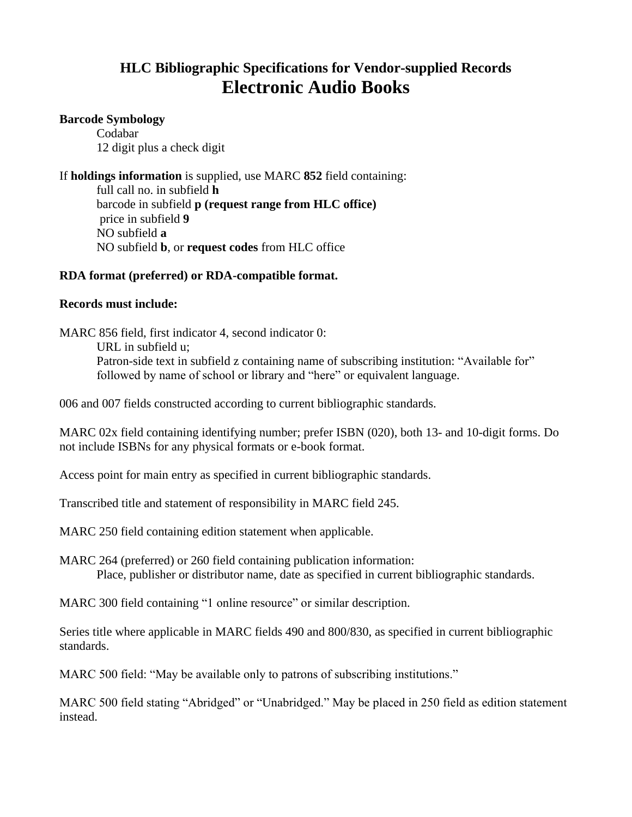# **HLC Bibliographic Specifications for Vendor-supplied Records Electronic Audio Books**

#### **Barcode Symbology**

Codabar 12 digit plus a check digit

If **holdings information** is supplied, use MARC **852** field containing:

full call no. in subfield **h** barcode in subfield **p (request range from HLC office)** price in subfield **9** NO subfield **a** NO subfield **b**, or **request codes** from HLC office

## **RDA format (preferred) or RDA-compatible format.**

### **Records must include:**

MARC 856 field, first indicator 4, second indicator 0:

URL in subfield u;

Patron-side text in subfield z containing name of subscribing institution: "Available for" followed by name of school or library and "here" or equivalent language.

006 and 007 fields constructed according to current bibliographic standards.

MARC 02x field containing identifying number; prefer ISBN (020), both 13- and 10-digit forms. Do not include ISBNs for any physical formats or e-book format.

Access point for main entry as specified in current bibliographic standards.

Transcribed title and statement of responsibility in MARC field 245.

MARC 250 field containing edition statement when applicable.

MARC 264 (preferred) or 260 field containing publication information: Place, publisher or distributor name, date as specified in current bibliographic standards.

MARC 300 field containing "1 online resource" or similar description.

Series title where applicable in MARC fields 490 and 800/830, as specified in current bibliographic standards.

MARC 500 field: "May be available only to patrons of subscribing institutions."

MARC 500 field stating "Abridged" or "Unabridged." May be placed in 250 field as edition statement instead.